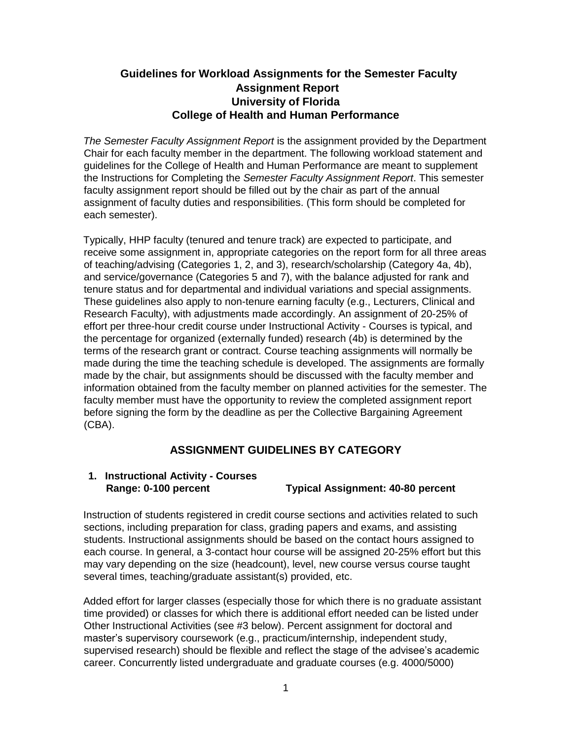## **Guidelines for Workload Assignments for the Semester Faculty Assignment Report University of Florida College of Health and Human Performance**

*The Semester Faculty Assignment Report* is the assignment provided by the Department Chair for each faculty member in the department. The following workload statement and guidelines for the College of Health and Human Performance are meant to supplement the Instructions for Completing the *Semester Faculty Assignment Report*. This semester faculty assignment report should be filled out by the chair as part of the annual assignment of faculty duties and responsibilities. (This form should be completed for each semester).

Typically, HHP faculty (tenured and tenure track) are expected to participate, and receive some assignment in, appropriate categories on the report form for all three areas of teaching/advising (Categories 1, 2, and 3), research/scholarship (Category 4a, 4b), and service/governance (Categories 5 and 7), with the balance adjusted for rank and tenure status and for departmental and individual variations and special assignments. These guidelines also apply to non-tenure earning faculty (e.g., Lecturers, Clinical and Research Faculty), with adjustments made accordingly. An assignment of 20-25% of effort per three-hour credit course under Instructional Activity - Courses is typical, and the percentage for organized (externally funded) research (4b) is determined by the terms of the research grant or contract. Course teaching assignments will normally be made during the time the teaching schedule is developed. The assignments are formally made by the chair, but assignments should be discussed with the faculty member and information obtained from the faculty member on planned activities for the semester. The faculty member must have the opportunity to review the completed assignment report before signing the form by the deadline as per the Collective Bargaining Agreement (CBA).

## **ASSIGNMENT GUIDELINES BY CATEGORY**

# **1. Instructional Activity - Courses**

 **Range: 0-100 percent Typical Assignment: 40-80 percent** 

Instruction of students registered in credit course sections and activities related to such sections, including preparation for class, grading papers and exams, and assisting students. Instructional assignments should be based on the contact hours assigned to each course. In general, a 3-contact hour course will be assigned 20-25% effort but this may vary depending on the size (headcount), level, new course versus course taught several times, teaching/graduate assistant(s) provided, etc.

Added effort for larger classes (especially those for which there is no graduate assistant time provided) or classes for which there is additional effort needed can be listed under Other Instructional Activities (see #3 below). Percent assignment for doctoral and master's supervisory coursework (e.g., practicum/internship, independent study, supervised research) should be flexible and reflect the stage of the advisee's academic career. Concurrently listed undergraduate and graduate courses (e.g. 4000/5000)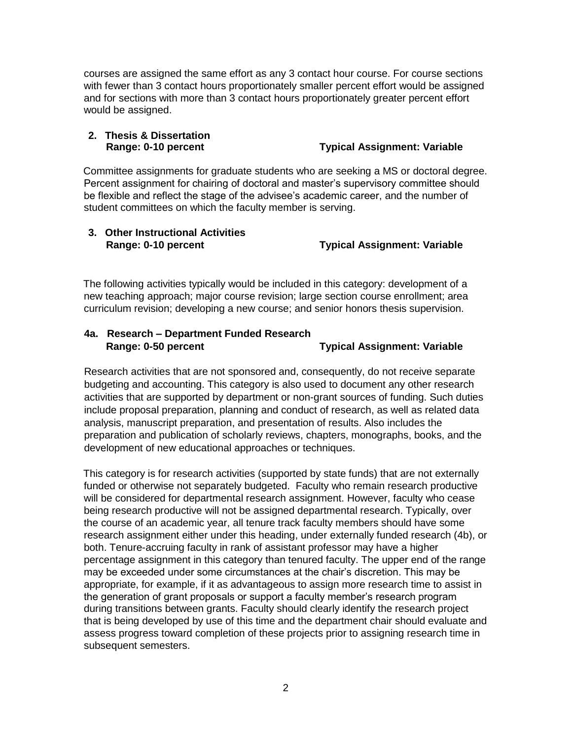courses are assigned the same effort as any 3 contact hour course. For course sections with fewer than 3 contact hours proportionately smaller percent effort would be assigned and for sections with more than 3 contact hours proportionately greater percent effort would be assigned.

## **2. Thesis & Dissertation**

 **Range: 0-10 percent Typical Assignment: Variable** 

Committee assignments for graduate students who are seeking a MS or doctoral degree. Percent assignment for chairing of doctoral and master's supervisory committee should be flexible and reflect the stage of the advisee's academic career, and the number of student committees on which the faculty member is serving.

## **3. Other Instructional Activities**  **Range: 0-10 percent Typical Assignment: Variable**

The following activities typically would be included in this category: development of a new teaching approach; major course revision; large section course enrollment; area curriculum revision; developing a new course; and senior honors thesis supervision.

## **4a. Research – Department Funded Research Range: 0-50 percent Typical Assignment: Variable**

Research activities that are not sponsored and, consequently, do not receive separate budgeting and accounting. This category is also used to document any other research activities that are supported by department or non-grant sources of funding. Such duties include proposal preparation, planning and conduct of research, as well as related data analysis, manuscript preparation, and presentation of results. Also includes the preparation and publication of scholarly reviews, chapters, monographs, books, and the development of new educational approaches or techniques.

This category is for research activities (supported by state funds) that are not externally funded or otherwise not separately budgeted. Faculty who remain research productive will be considered for departmental research assignment. However, faculty who cease being research productive will not be assigned departmental research. Typically, over the course of an academic year, all tenure track faculty members should have some research assignment either under this heading, under externally funded research (4b), or both. Tenure-accruing faculty in rank of assistant professor may have a higher percentage assignment in this category than tenured faculty. The upper end of the range may be exceeded under some circumstances at the chair's discretion. This may be appropriate, for example, if it as advantageous to assign more research time to assist in the generation of grant proposals or support a faculty member's research program during transitions between grants. Faculty should clearly identify the research project that is being developed by use of this time and the department chair should evaluate and assess progress toward completion of these projects prior to assigning research time in subsequent semesters.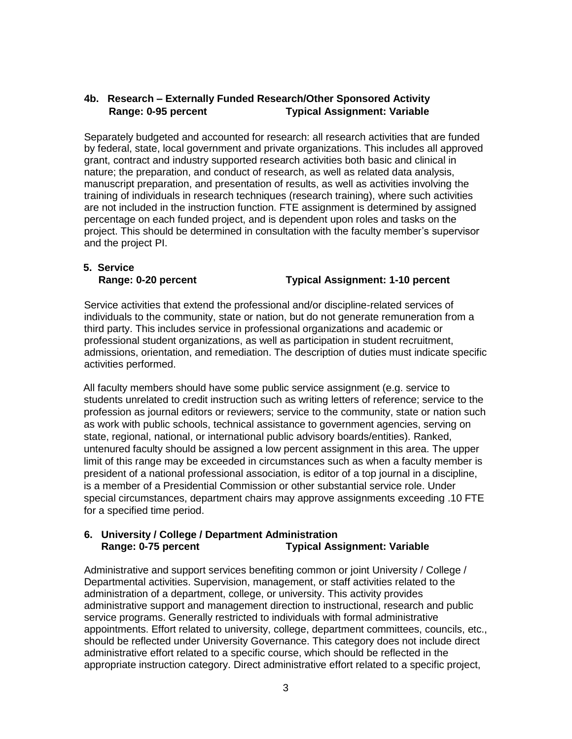## **4b. Research – Externally Funded Research/Other Sponsored Activity Range: 0-95 percent Typical Assignment: Variable**

Separately budgeted and accounted for research: all research activities that are funded by federal, state, local government and private organizations. This includes all approved grant, contract and industry supported research activities both basic and clinical in nature; the preparation, and conduct of research, as well as related data analysis, manuscript preparation, and presentation of results, as well as activities involving the training of individuals in research techniques (research training), where such activities are not included in the instruction function. FTE assignment is determined by assigned percentage on each funded project, and is dependent upon roles and tasks on the project. This should be determined in consultation with the faculty member's supervisor and the project PI.

# **5. Service**

#### **Range: 0-20 percent Typical Assignment: 1-10 percent**

Service activities that extend the professional and/or discipline-related services of individuals to the community, state or nation, but do not generate remuneration from a third party. This includes service in professional organizations and academic or professional student organizations, as well as participation in student recruitment, admissions, orientation, and remediation. The description of duties must indicate specific activities performed.

All faculty members should have some public service assignment (e.g. service to students unrelated to credit instruction such as writing letters of reference; service to the profession as journal editors or reviewers; service to the community, state or nation such as work with public schools, technical assistance to government agencies, serving on state, regional, national, or international public advisory boards/entities). Ranked, untenured faculty should be assigned a low percent assignment in this area. The upper limit of this range may be exceeded in circumstances such as when a faculty member is president of a national professional association, is editor of a top journal in a discipline, is a member of a Presidential Commission or other substantial service role. Under special circumstances, department chairs may approve assignments exceeding .10 FTE for a specified time period.

#### **6. University / College / Department Administration Range: 0-75 percent Typical Assignment: Variable**

Administrative and support services benefiting common or joint University / College / Departmental activities. Supervision, management, or staff activities related to the administration of a department, college, or university. This activity provides administrative support and management direction to instructional, research and public service programs. Generally restricted to individuals with formal administrative appointments. Effort related to university, college, department committees, councils, etc., should be reflected under University Governance. This category does not include direct administrative effort related to a specific course, which should be reflected in the appropriate instruction category. Direct administrative effort related to a specific project,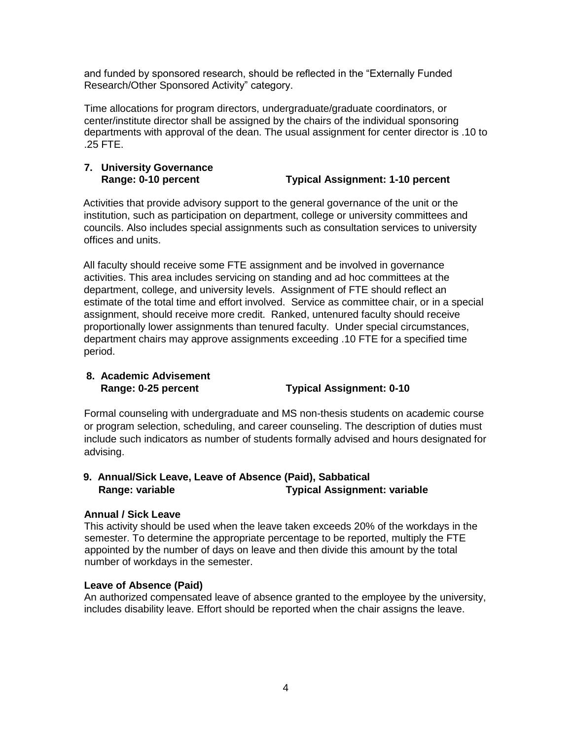and funded by sponsored research, should be reflected in the "Externally Funded Research/Other Sponsored Activity" category.

Time allocations for program directors, undergraduate/graduate coordinators, or center/institute director shall be assigned by the chairs of the individual sponsoring departments with approval of the dean. The usual assignment for center director is .10 to .25 FTE.

#### **7. University Governance Range: 0-10 percent Typical Assignment: 1-10 percent**

Activities that provide advisory support to the general governance of the unit or the institution, such as participation on department, college or university committees and councils. Also includes special assignments such as consultation services to university offices and units.

All faculty should receive some FTE assignment and be involved in governance activities. This area includes servicing on standing and ad hoc committees at the department, college, and university levels. Assignment of FTE should reflect an estimate of the total time and effort involved. Service as committee chair, or in a special assignment, should receive more credit. Ranked, untenured faculty should receive proportionally lower assignments than tenured faculty. Under special circumstances, department chairs may approve assignments exceeding .10 FTE for a specified time period.

## **8. Academic Advisement Range: 0-25 percent Typical Assignment: 0-10**

Formal counseling with undergraduate and MS non-thesis students on academic course or program selection, scheduling, and career counseling. The description of duties must include such indicators as number of students formally advised and hours designated for advising.

## **9. Annual/Sick Leave, Leave of Absence (Paid), Sabbatical Range:** variable Typical Assignment: variable

## **Annual / Sick Leave**

This activity should be used when the leave taken exceeds 20% of the workdays in the semester. To determine the appropriate percentage to be reported, multiply the FTE appointed by the number of days on leave and then divide this amount by the total number of workdays in the semester.

## **Leave of Absence (Paid)**

An authorized compensated leave of absence granted to the employee by the university, includes disability leave. Effort should be reported when the chair assigns the leave.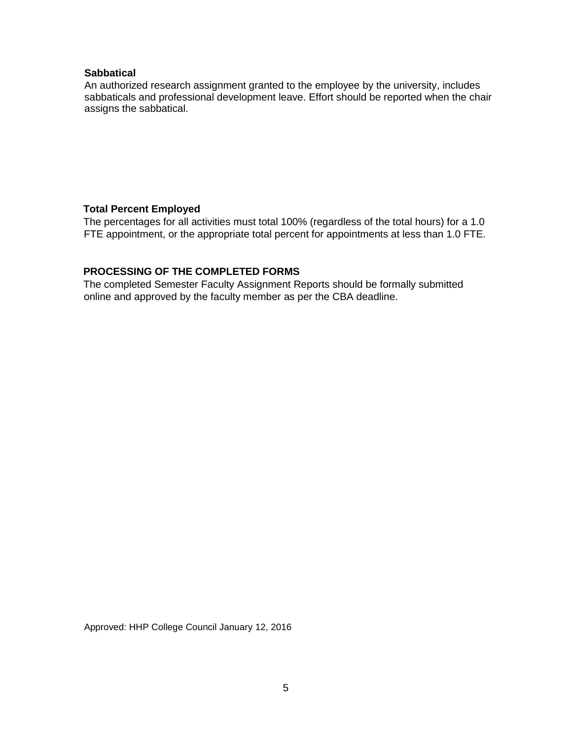#### **Sabbatical**

An authorized research assignment granted to the employee by the university, includes sabbaticals and professional development leave. Effort should be reported when the chair assigns the sabbatical.

## **Total Percent Employed**

The percentages for all activities must total 100% (regardless of the total hours) for a 1.0 FTE appointment, or the appropriate total percent for appointments at less than 1.0 FTE.

## **PROCESSING OF THE COMPLETED FORMS**

The completed Semester Faculty Assignment Reports should be formally submitted online and approved by the faculty member as per the CBA deadline.

Approved: HHP College Council January 12, 2016